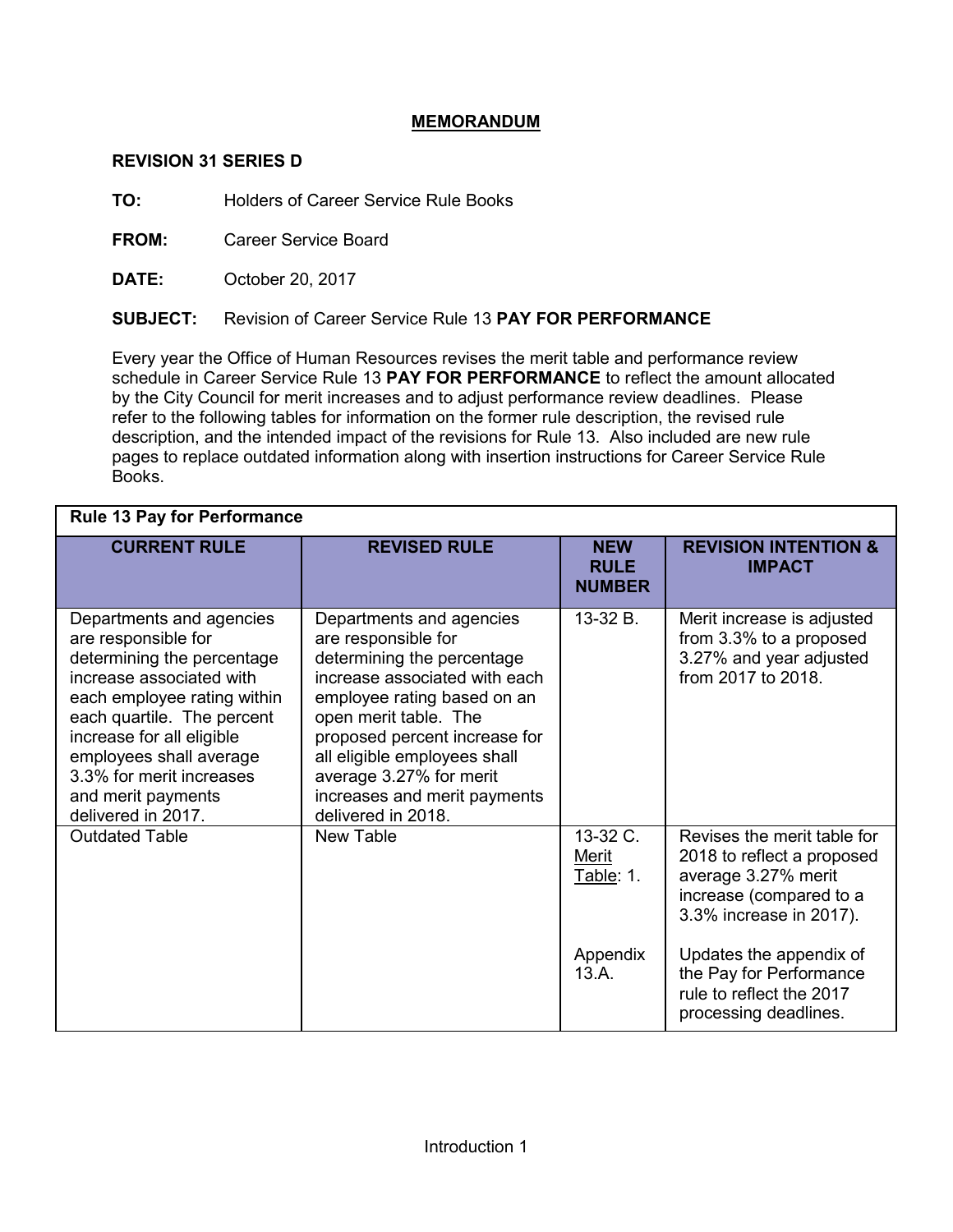## **MEMORANDUM**

## **REVISION 31 SERIES D**

**TO:** Holders of Career Service Rule Books

**FROM:** Career Service Board

**DATE:** October 20, 2017

## **SUBJECT:** Revision of Career Service Rule 13 **PAY FOR PERFORMANCE**

Every year the Office of Human Resources revises the merit table and performance review schedule in Career Service Rule 13 **PAY FOR PERFORMANCE** to reflect the amount allocated by the City Council for merit increases and to adjust performance review deadlines. Please refer to the following tables for information on the former rule description, the revised rule description, and the intended impact of the revisions for Rule 13. Also included are new rule pages to replace outdated information along with insertion instructions for Career Service Rule Books.

| <b>Rule 13 Pay for Performance</b>                                                                                                                                                                                                                                                                                              |                                                                                                                                                                                                                                                                                                                                       |                                            |                                                                                                                                        |  |  |
|---------------------------------------------------------------------------------------------------------------------------------------------------------------------------------------------------------------------------------------------------------------------------------------------------------------------------------|---------------------------------------------------------------------------------------------------------------------------------------------------------------------------------------------------------------------------------------------------------------------------------------------------------------------------------------|--------------------------------------------|----------------------------------------------------------------------------------------------------------------------------------------|--|--|
| <b>CURRENT RULE</b>                                                                                                                                                                                                                                                                                                             | <b>REVISED RULE</b>                                                                                                                                                                                                                                                                                                                   | <b>NEW</b><br><b>RULE</b><br><b>NUMBER</b> | <b>REVISION INTENTION &amp;</b><br><b>IMPACT</b>                                                                                       |  |  |
| Departments and agencies<br>are responsible for<br>determining the percentage<br>increase associated with<br>each employee rating within<br>each quartile. The percent<br>increase for all eligible<br>employees shall average<br>3.3% for merit increases<br>and merit payments<br>delivered in 2017.<br><b>Outdated Table</b> | Departments and agencies<br>are responsible for<br>determining the percentage<br>increase associated with each<br>employee rating based on an<br>open merit table. The<br>proposed percent increase for<br>all eligible employees shall<br>average 3.27% for merit<br>increases and merit payments<br>delivered in 2018.<br>New Table | 13-32 B.                                   | Merit increase is adjusted<br>from 3.3% to a proposed<br>3.27% and year adjusted<br>from 2017 to 2018.                                 |  |  |
|                                                                                                                                                                                                                                                                                                                                 |                                                                                                                                                                                                                                                                                                                                       | 13-32 C.<br><u>Merit</u><br>Table: 1.      | Revises the merit table for<br>2018 to reflect a proposed<br>average 3.27% merit<br>increase (compared to a<br>3.3% increase in 2017). |  |  |
|                                                                                                                                                                                                                                                                                                                                 |                                                                                                                                                                                                                                                                                                                                       | Appendix<br>13.A.                          | Updates the appendix of<br>the Pay for Performance<br>rule to reflect the 2017<br>processing deadlines.                                |  |  |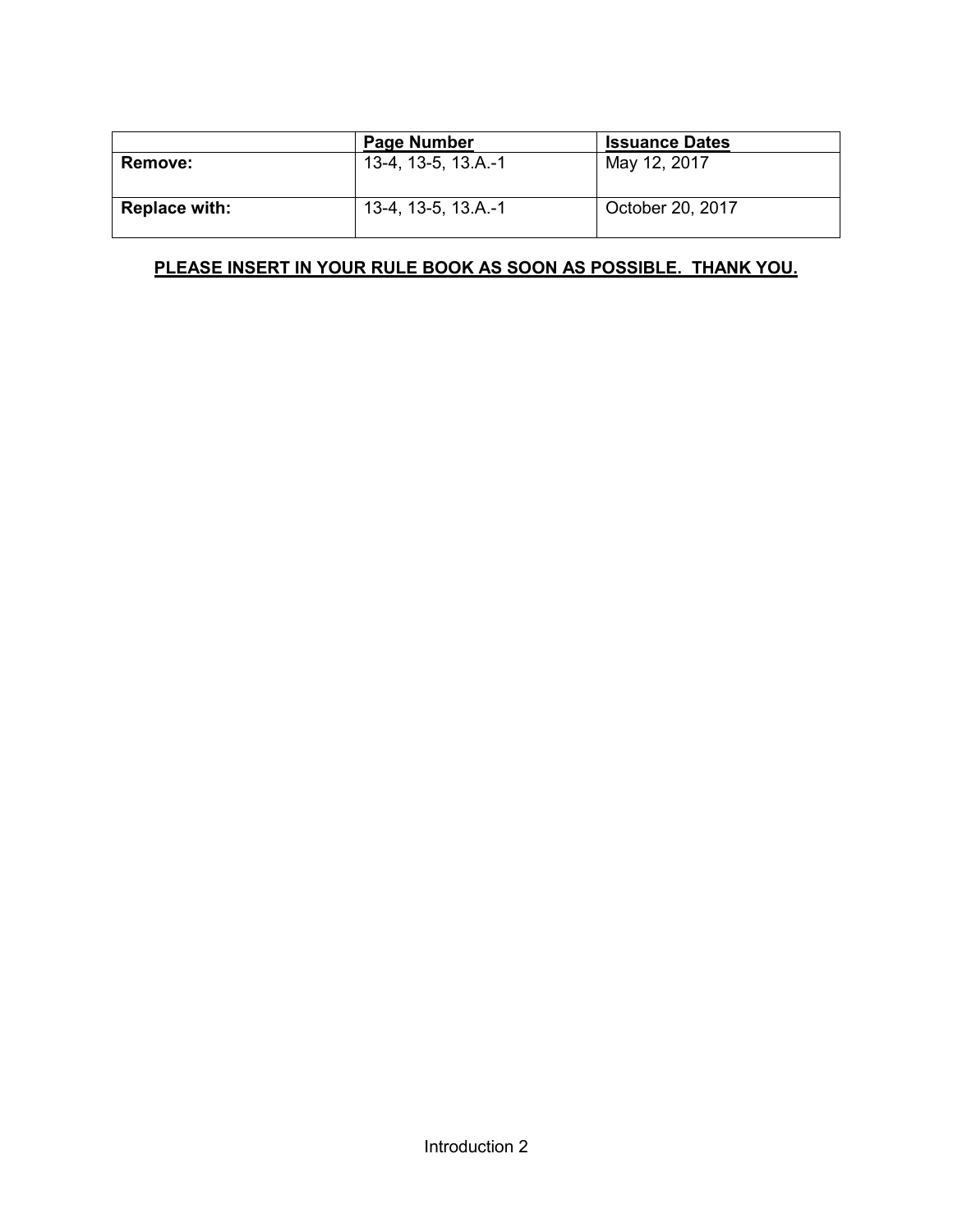|                      | <b>Page Number</b>  | <b>Issuance Dates</b> |
|----------------------|---------------------|-----------------------|
| <b>Remove:</b>       | 13-4, 13-5, 13.A.-1 | May 12, 2017          |
| <b>Replace with:</b> | 13-4, 13-5, 13.A.-1 | October 20, 2017      |

# **PLEASE INSERT IN YOUR RULE BOOK AS SOON AS POSSIBLE. THANK YOU.**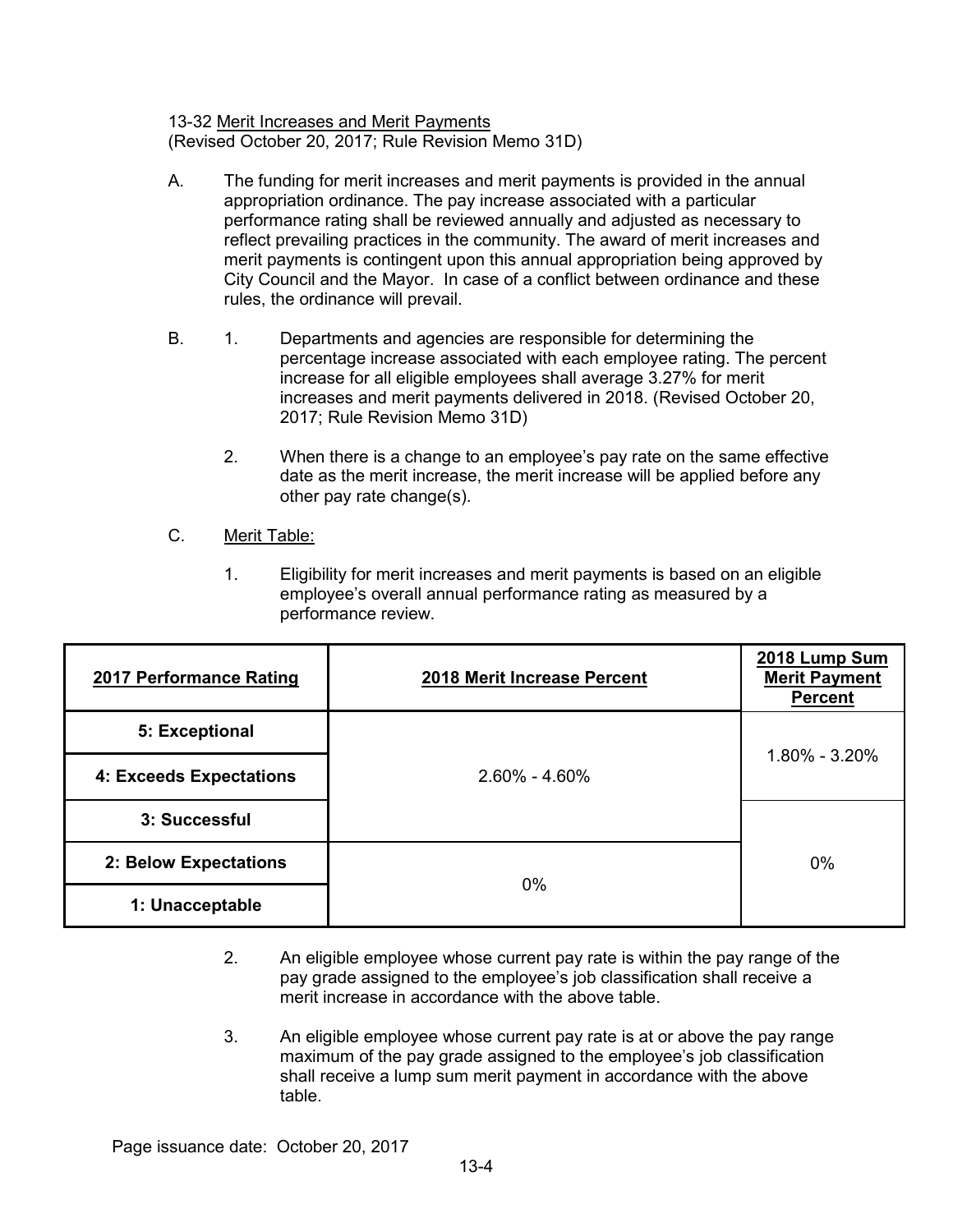13-32 Merit Increases and Merit Payments (Revised October 20, 2017; Rule Revision Memo 31D)

- A. The funding for merit increases and merit payments is provided in the annual appropriation ordinance. The pay increase associated with a particular performance rating shall be reviewed annually and adjusted as necessary to reflect prevailing practices in the community. The award of merit increases and merit payments is contingent upon this annual appropriation being approved by City Council and the Mayor. In case of a conflict between ordinance and these rules, the ordinance will prevail.
- B. 1. Departments and agencies are responsible for determining the percentage increase associated with each employee rating. The percent increase for all eligible employees shall average 3.27% for merit increases and merit payments delivered in 2018. (Revised October 20, 2017; Rule Revision Memo 31D)
	- 2. When there is a change to an employee's pay rate on the same effective date as the merit increase, the merit increase will be applied before any other pay rate change(s).

## C. Merit Table:

1. Eligibility for merit increases and merit payments is based on an eligible employee's overall annual performance rating as measured by a performance review.

| 2017 Performance Rating | 2018 Merit Increase Percent | 2018 Lump Sum<br><b>Merit Payment</b><br><b>Percent</b> |
|-------------------------|-----------------------------|---------------------------------------------------------|
| 5: Exceptional          |                             | 1.80% - 3.20%                                           |
| 4: Exceeds Expectations | $2.60\% - 4.60\%$           |                                                         |
| 3: Successful           |                             |                                                         |
| 2: Below Expectations   | $0\%$                       | 0%                                                      |
| 1: Unacceptable         |                             |                                                         |

- 2. An eligible employee whose current pay rate is within the pay range of the pay grade assigned to the employee's job classification shall receive a merit increase in accordance with the above table.
- 3. An eligible employee whose current pay rate is at or above the pay range maximum of the pay grade assigned to the employee's job classification shall receive a lump sum merit payment in accordance with the above table.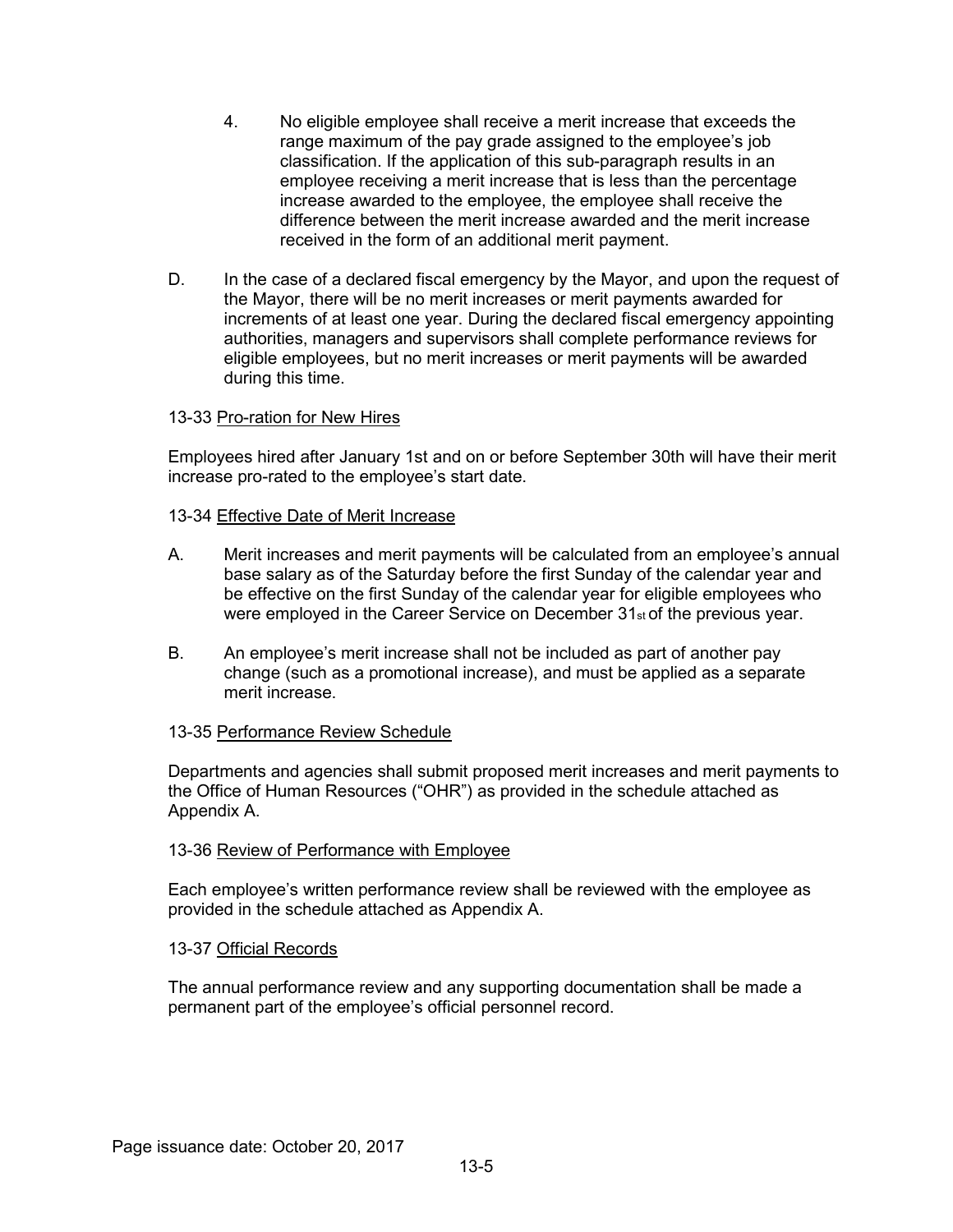- 4. No eligible employee shall receive a merit increase that exceeds the range maximum of the pay grade assigned to the employee's job classification. If the application of this sub-paragraph results in an employee receiving a merit increase that is less than the percentage increase awarded to the employee, the employee shall receive the difference between the merit increase awarded and the merit increase received in the form of an additional merit payment.
- D. In the case of a declared fiscal emergency by the Mayor, and upon the request of the Mayor, there will be no merit increases or merit payments awarded for increments of at least one year. During the declared fiscal emergency appointing authorities, managers and supervisors shall complete performance reviews for eligible employees, but no merit increases or merit payments will be awarded during this time.

### 13-33 Pro-ration for New Hires

Employees hired after January 1st and on or before September 30th will have their merit increase pro-rated to the employee's start date.

#### 13-34 Effective Date of Merit Increase

- A. Merit increases and merit payments will be calculated from an employee's annual base salary as of the Saturday before the first Sunday of the calendar year and be effective on the first Sunday of the calendar year for eligible employees who were employed in the Career Service on December 31<sub>st</sub> of the previous year.
- B. An employee's merit increase shall not be included as part of another pay change (such as a promotional increase), and must be applied as a separate merit increase.

#### 13-35 Performance Review Schedule

Departments and agencies shall submit proposed merit increases and merit payments to the Office of Human Resources ("OHR") as provided in the schedule attached as Appendix A.

#### 13-36 Review of Performance with Employee

Each employee's written performance review shall be reviewed with the employee as provided in the schedule attached as Appendix A.

#### 13-37 Official Records

The annual performance review and any supporting documentation shall be made a permanent part of the employee's official personnel record.